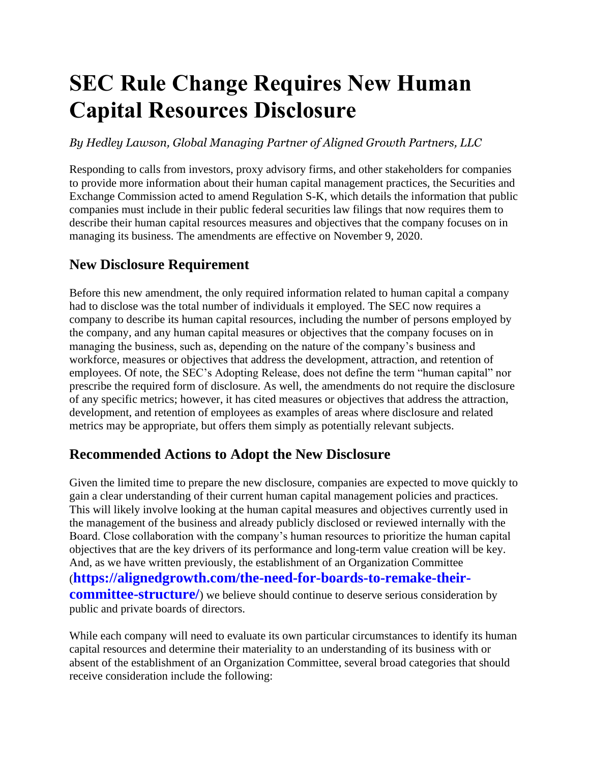# **SEC Rule Change Requires New Human Capital Resources Disclosure**

*By Hedley Lawson, Global Managing Partner of Aligned Growth Partners, LLC*

Responding to calls from investors, proxy advisory firms, and other stakeholders for companies to provide more information about their human capital management practices, the Securities and Exchange Commission acted to amend Regulation S-K, which details the information that public companies must include in their public federal securities law filings that now requires them to describe their human capital resources measures and objectives that the company focuses on in managing its business. The amendments are effective on November 9, 2020.

## **New Disclosure Requirement**

Before this new amendment, the only required information related to human capital a company had to disclose was the total number of individuals it employed. The SEC now requires a company to describe its human capital resources, including the number of persons employed by the company, and any human capital measures or objectives that the company focuses on in managing the business, such as, depending on the nature of the company's business and workforce, measures or objectives that address the development, attraction, and retention of employees. Of note, the SEC's Adopting Release, does not define the term "human capital" nor prescribe the required form of disclosure. As well, the amendments do not require the disclosure of any specific metrics; however, it has cited measures or objectives that address the attraction, development, and retention of employees as examples of areas where disclosure and related metrics may be appropriate, but offers them simply as potentially relevant subjects.

## **Recommended Actions to Adopt the New Disclosure**

Given the limited time to prepare the new disclosure, companies are expected to move quickly to gain a clear understanding of their current human capital management policies and practices. This will likely involve looking at the human capital measures and objectives currently used in the management of the business and already publicly disclosed or reviewed internally with the Board. Close collaboration with the company's human resources to prioritize the human capital objectives that are the key drivers of its performance and long-term value creation will be key. And, as we have written previously, the establishment of an Organization Committee (**https://alignedgrowth.com/the-need-for-boards-to-remake-theircommittee-structure**/) we believe should continue to deserve serious consideration by public and private boards of directors.

While each company will need to evaluate its own particular circumstances to identify its human capital resources and determine their materiality to an understanding of its business with or absent of the establishment of an Organization Committee, several broad categories that should receive consideration include the following: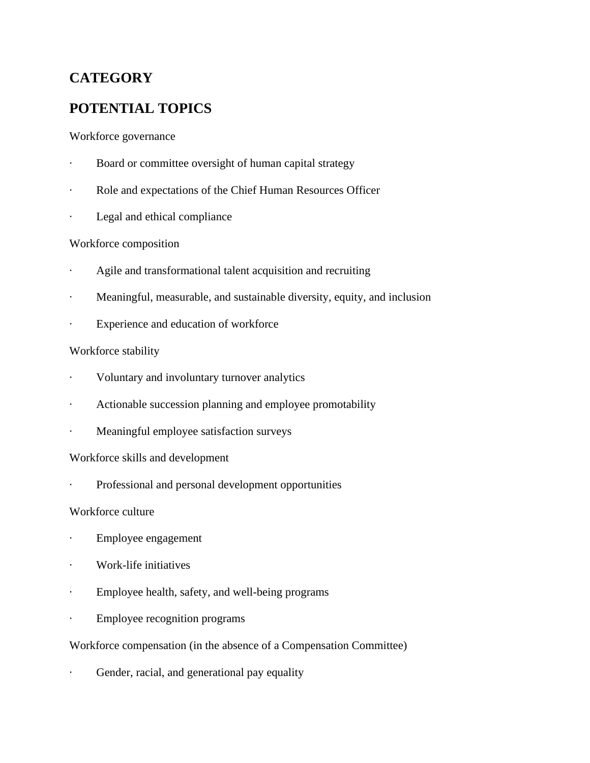# **CATEGORY**

## **POTENTIAL TOPICS**

#### Workforce governance

- Board or committee oversight of human capital strategy
- Role and expectations of the Chief Human Resources Officer
- Legal and ethical compliance

#### Workforce composition

- Agile and transformational talent acquisition and recruiting
- Meaningful, measurable, and sustainable diversity, equity, and inclusion
- Experience and education of workforce

#### Workforce stability

- · Voluntary and involuntary turnover analytics
- Actionable succession planning and employee promotability
- Meaningful employee satisfaction surveys

#### Workforce skills and development

Professional and personal development opportunities

#### Workforce culture

- · Employee engagement
- · Work-life initiatives
- · Employee health, safety, and well-being programs
- · Employee recognition programs

#### Workforce compensation (in the absence of a Compensation Committee)

Gender, racial, and generational pay equality